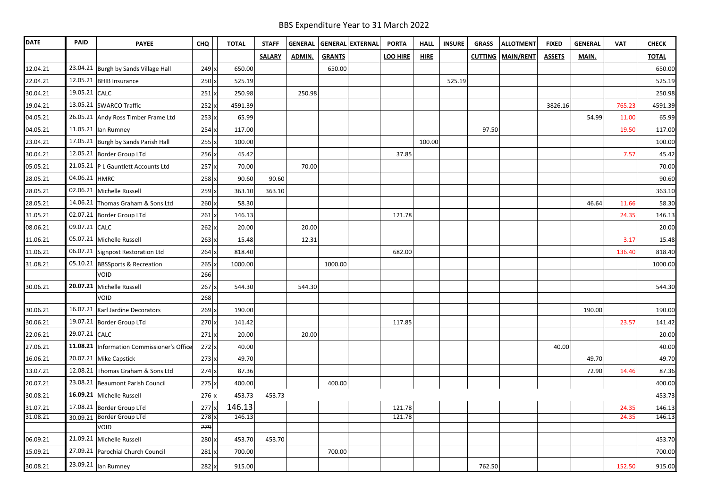| <b>DATE</b> | <b>PAID</b>   | <b>PAYEE</b>                                 | <b>CHQ</b>   | <b>TOTAL</b> | <b>STAFF</b>  | <b>GENERAL</b> |               | <b>GENERAL EXTERNAL</b> | <b>PORTA</b> | <b>HALL</b> | <b>INSURE</b> | <b>GRASS</b>   | <b>ALLOTMENT</b> | <b>FIXED</b>  | <b>GENERAL</b> | <b>VAT</b> | <b>CHECK</b> |
|-------------|---------------|----------------------------------------------|--------------|--------------|---------------|----------------|---------------|-------------------------|--------------|-------------|---------------|----------------|------------------|---------------|----------------|------------|--------------|
|             |               |                                              |              |              | <b>SALARY</b> | ADMIN.         | <b>GRANTS</b> |                         | LOO HIRE     | <b>HIRE</b> |               | <b>CUTTING</b> | MAIN/RENT        | <b>ASSETS</b> | MAIN.          |            | <b>TOTAL</b> |
| 12.04.21    |               | 23.04.21 Burgh by Sands Village Hall         | 249          | 650.00       |               |                | 650.00        |                         |              |             |               |                |                  |               |                |            | 650.00       |
| 22.04.21    |               | 12.05.21 BHIB Insurance                      | 250          | 525.19       |               |                |               |                         |              |             | 525.19        |                |                  |               |                |            | 525.19       |
| 30.04.21    | 19.05.21 CALC |                                              | 251          | 250.98       |               | 250.98         |               |                         |              |             |               |                |                  |               |                |            | 250.98       |
| 19.04.21    |               | 13.05.21 SWARCO Traffic                      | 252          | 4591.39      |               |                |               |                         |              |             |               |                |                  | 3826.16       |                | 765.23     | 4591.39      |
| 04.05.21    |               | 26.05.21 Andy Ross Timber Frame Ltd          | 253x         | 65.99        |               |                |               |                         |              |             |               |                |                  |               | 54.99          | 11.00      | 65.99        |
| 04.05.21    |               | 11.05.21   lan Rumney                        | 254          | 117.00       |               |                |               |                         |              |             |               | 97.50          |                  |               |                | 19.50      | 117.00       |
| 23.04.21    |               | 17.05.21 Burgh by Sands Parish Hall          | 255          | 100.00       |               |                |               |                         |              | 100.00      |               |                |                  |               |                |            | 100.00       |
| 30.04.21    |               | 12.05.21 Border Group LTd                    | $256$ x      | 45.42        |               |                |               |                         | 37.85        |             |               |                |                  |               |                | 7.57       | 45.42        |
| 05.05.21    |               | 21.05.21   P L Gauntlett Accounts Ltd        | 257          | 70.00        |               | 70.00          |               |                         |              |             |               |                |                  |               |                |            | 70.00        |
| 28.05.21    | 04.06.21 HMRC |                                              | 258x         | 90.60        | 90.60         |                |               |                         |              |             |               |                |                  |               |                |            | 90.60        |
| 28.05.21    |               | 02.06.21 Michelle Russell                    | 259          | 363.10       | 363.10        |                |               |                         |              |             |               |                |                  |               |                |            | 363.10       |
| 28.05.21    |               | 14.06.21 Thomas Graham & Sons Ltd            | 260          | 58.30        |               |                |               |                         |              |             |               |                |                  |               | 46.64          | 11.66      | 58.30        |
| 31.05.21    |               | 02.07.21 Border Group LTd                    | 261          | 146.13       |               |                |               |                         | 121.78       |             |               |                |                  |               |                | 24.35      | 146.13       |
| 08.06.21    | 09.07.21 CALC |                                              | 262          | 20.00        |               | 20.00          |               |                         |              |             |               |                |                  |               |                |            | 20.00        |
| 11.06.21    |               | 05.07.21 Michelle Russell                    | $263 \times$ | 15.48        |               | 12.31          |               |                         |              |             |               |                |                  |               |                | 3.17       | 15.48        |
| 11.06.21    |               | 06.07.21 Signpost Restoration Ltd            | 264          | 818.40       |               |                |               |                         | 682.00       |             |               |                |                  |               |                | 136.40     | 818.40       |
| 31.08.21    |               | 05.10.21 BBSSports & Recreation              | 265          | 1000.00      |               |                | 1000.00       |                         |              |             |               |                |                  |               |                |            | 1000.00      |
|             |               | VOID                                         | 266          |              |               |                |               |                         |              |             |               |                |                  |               |                |            |              |
| 30.06.21    |               | 20.07.21 Michelle Russell                    | 267          | 544.30       |               | 544.30         |               |                         |              |             |               |                |                  |               |                |            | 544.30       |
|             |               | VOID                                         | 268          |              |               |                |               |                         |              |             |               |                |                  |               |                |            |              |
| 30.06.21    |               | 16.07.21   Karl Jardine Decorators           | 269x         | 190.00       |               |                |               |                         |              |             |               |                |                  |               | 190.00         |            | 190.00       |
| 30.06.21    |               | 19.07.21 Border Group LTd                    | $270$ x      | 141.42       |               |                |               |                         | 117.85       |             |               |                |                  |               |                | 23.57      | 141.42       |
| 22.06.21    | 29.07.21 CALC |                                              | 271          | 20.00        |               | 20.00          |               |                         |              |             |               |                |                  |               |                |            | 20.00        |
| 27.06.21    |               | 11.08.21   Information Commissioner's Office | 272x         | 40.00        |               |                |               |                         |              |             |               |                |                  | 40.00         |                |            | 40.00        |
| 16.06.21    |               | 20.07.21 Mike Capstick                       | 273x         | 49.70        |               |                |               |                         |              |             |               |                |                  |               | 49.70          |            | 49.70        |
| 13.07.21    |               | 12.08.21 Thomas Graham & Sons Ltd            | $274$ x      | 87.36        |               |                |               |                         |              |             |               |                |                  |               | 72.90          | 14.46      | 87.36        |
| 20.07.21    |               | 23.08.21 Beaumont Parish Council             | $275$ $x$    | 400.00       |               |                | 400.00        |                         |              |             |               |                |                  |               |                |            | 400.00       |
| 30.08.21    |               | 16.09.21 Michelle Russell                    | 276 x        | 453.73       | 453.73        |                |               |                         |              |             |               |                |                  |               |                |            | 453.73       |
| 31.07.21    |               | 17.08.21 Border Group LTd                    | $277$ $x$    | 146.13       |               |                |               |                         | 121.78       |             |               |                |                  |               |                | 24.35      | 146.13       |
| 31.08.21    |               | 30.09.21 Border Group LTd                    | $278$ x      | 146.13       |               |                |               |                         | 121.78       |             |               |                |                  |               |                | 24.35      | 146.13       |
|             |               | VOID                                         | 279          |              |               |                |               |                         |              |             |               |                |                  |               |                |            |              |
| 06.09.21    |               | 21.09.21 Michelle Russell                    | $280$ x      | 453.70       | 453.70        |                |               |                         |              |             |               |                |                  |               |                |            | 453.70       |
| 15.09.21    |               | 27.09.21 Parochial Church Council            | 281          | 700.00       |               |                | 700.00        |                         |              |             |               |                |                  |               |                |            | 700.00       |
| 30.08.21    |               | 23.09.21   lan Rumney                        | 282x         | 915.00       |               |                |               |                         |              |             |               | 762.50         |                  |               |                | 152.50     | 915.00       |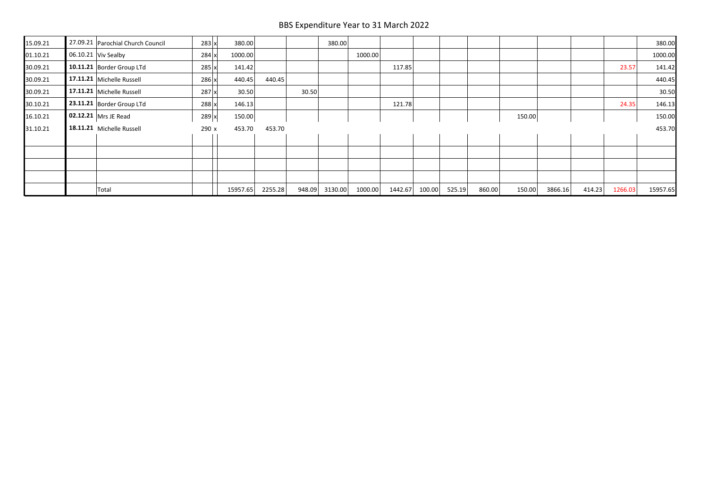## BBS Expenditure Year to 31 March 2022

| 15.09.21 | 27.09.21 Parochial Church Council | 283x    | 380.00   |         |        | 380.00  |         |         |        |        |        |        |         |        |         | 380.00   |
|----------|-----------------------------------|---------|----------|---------|--------|---------|---------|---------|--------|--------|--------|--------|---------|--------|---------|----------|
| 01.10.21 | 06.10.21 Viv Sealby               | 284x    | 1000.00  |         |        |         | 1000.00 |         |        |        |        |        |         |        |         | 1000.00  |
| 30.09.21 | 10.11.21 Border Group LTd         | $285$ x | 141.42   |         |        |         |         | 117.85  |        |        |        |        |         |        | 23.57   | 141.42   |
| 30.09.21 | 17.11.21 Michelle Russell         | $286$ x | 440.45   | 440.45  |        |         |         |         |        |        |        |        |         |        |         | 440.45   |
| 30.09.21 | 17.11.21 Michelle Russell         | $287$ x | 30.50    |         | 30.50  |         |         |         |        |        |        |        |         |        |         | 30.50    |
| 30.10.21 | 23.11.21 Border Group LTd         | $288$ x | 146.13   |         |        |         |         | 121.78  |        |        |        |        |         |        | 24.35   | 146.13   |
| 16.10.21 | 02.12.21 Mrs JE Read              | $289$ x | 150.00   |         |        |         |         |         |        |        |        | 150.00 |         |        |         | 150.00   |
| 31.10.21 | 18.11.21 Michelle Russell         | 290x    | 453.70   | 453.70  |        |         |         |         |        |        |        |        |         |        |         | 453.70   |
|          |                                   |         |          |         |        |         |         |         |        |        |        |        |         |        |         |          |
|          |                                   |         |          |         |        |         |         |         |        |        |        |        |         |        |         |          |
|          |                                   |         |          |         |        |         |         |         |        |        |        |        |         |        |         |          |
|          |                                   |         |          |         |        |         |         |         |        |        |        |        |         |        |         |          |
|          | Total                             |         | 15957.65 | 2255.28 | 948.09 | 3130.00 | 1000.00 | 1442.67 | 100.00 | 525.19 | 860.00 | 150.00 | 3866.16 | 414.23 | 1266.03 | 15957.65 |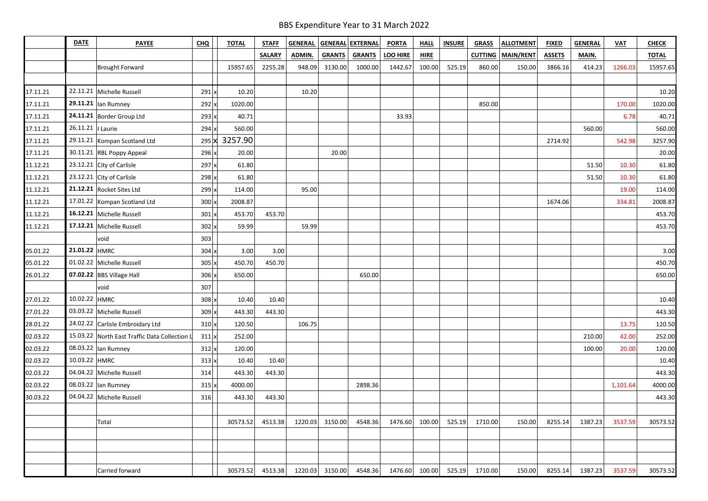|          | <b>DATE</b>       | <b>PAYEE</b>                                  | <b>CHQ</b>   | <b>TOTAL</b> | <b>STAFF</b>  | <b>GENERAL</b> |                 | <b>GENERAL EXTERNAL</b> | <b>PORTA</b> | <b>HALL</b> | <b>INSURE</b> | <b>GRASS</b> | <b>ALLOTMENT</b>           | <b>FIXED</b>  | <b>GENERAL</b> | <b>VAT</b> | <b>CHECK</b> |
|----------|-------------------|-----------------------------------------------|--------------|--------------|---------------|----------------|-----------------|-------------------------|--------------|-------------|---------------|--------------|----------------------------|---------------|----------------|------------|--------------|
|          |                   |                                               |              |              | <b>SALARY</b> | ADMIN.         | <b>GRANTS</b>   | <b>GRANTS</b>           | LOO HIRE     | <b>HIRE</b> |               |              | <b>CUTTING   MAIN/RENT</b> | <b>ASSETS</b> | MAIN.          |            | <b>TOTAL</b> |
|          |                   | Brought Forward                               |              | 15957.65     | 2255.28       | 948.09         | 3130.00         | 1000.00                 | 1442.67      | 100.00      | 525.19        | 860.00       | 150.00                     | 3866.16       | 414.23         | 1266.03    | 15957.65     |
|          |                   |                                               |              |              |               |                |                 |                         |              |             |               |              |                            |               |                |            |              |
| 17.11.21 |                   | 22.11.21 Michelle Russell                     | 291x         | 10.20        |               | 10.20          |                 |                         |              |             |               |              |                            |               |                |            | 10.20        |
| 17.11.21 |                   | 29.11.21 $ $ lan Rumney                       | $292$ x      | 1020.00      |               |                |                 |                         |              |             |               | 850.00       |                            |               |                | 170.00     | 1020.00      |
| 17.11.21 |                   | 24.11.21 Border Group Ltd                     | 293x         | 40.71        |               |                |                 |                         | 33.93        |             |               |              |                            |               |                | 6.78       | 40.71        |
| 17.11.21 | 26.11.21   Laurie |                                               | $294$ x      | 560.00       |               |                |                 |                         |              |             |               |              |                            |               | 560.00         |            | 560.00       |
| 17.11.21 |                   | 29.11.21 Kompan Scotland Ltd                  | $295$ X      | 3257.90      |               |                |                 |                         |              |             |               |              |                            | 2714.92       |                | 542.98     | 3257.90      |
| 17.11.21 |                   | 30.11.21 RBL Poppy Appeal                     | $296$ x      | 20.00        |               |                | 20.00           |                         |              |             |               |              |                            |               |                |            | 20.00        |
| 11.12.21 |                   | 23.12.21 City of Carlisle                     | $297$ x      | 61.80        |               |                |                 |                         |              |             |               |              |                            |               | 51.50          | 10.30      | 61.80        |
| 11.12.21 |                   | 23.12.21 City of Carlisle                     | $298$ x      | 61.80        |               |                |                 |                         |              |             |               |              |                            |               | 51.50          | 10.30      | 61.80        |
| 11.12.21 |                   | 21.12.21 Rocket Sites Ltd                     | $299$ x      | 114.00       |               | 95.00          |                 |                         |              |             |               |              |                            |               |                | 19.00      | 114.00       |
| 11.12.21 |                   | 17.01.22 Kompan Scotland Ltd                  | $300 \times$ | 2008.87      |               |                |                 |                         |              |             |               |              |                            | 1674.06       |                | 334.81     | 2008.87      |
| 11.12.21 |                   | 16.12.21 Michelle Russell                     | $301 \times$ | 453.70       | 453.70        |                |                 |                         |              |             |               |              |                            |               |                |            | 453.70       |
| 11.12.21 |                   | 17.12.21 Michelle Russell                     | $302 \times$ | 59.99        |               | 59.99          |                 |                         |              |             |               |              |                            |               |                |            | 453.70       |
|          |                   | void                                          | 303          |              |               |                |                 |                         |              |             |               |              |                            |               |                |            |              |
| 05.01.22 | 21.01.22 HMRC     |                                               | $304$ x      | 3.00         | 3.00          |                |                 |                         |              |             |               |              |                            |               |                |            | 3.00         |
| 05.01.22 |                   | 01.02.22 Michelle Russell                     | $305$ x      | 450.70       | 450.70        |                |                 |                         |              |             |               |              |                            |               |                |            | 450.70       |
| 26.01.22 |                   | 07.02.22 BBS Village Hall                     | $306$ x      | 650.00       |               |                |                 | 650.00                  |              |             |               |              |                            |               |                |            | 650.00       |
|          |                   | void                                          | 307          |              |               |                |                 |                         |              |             |               |              |                            |               |                |            |              |
| 27.01.22 | 10.02.22 HMRC     |                                               | $308 \times$ | 10.40        | 10.40         |                |                 |                         |              |             |               |              |                            |               |                |            | 10.40        |
| 27.01.22 |                   | 03.03.22 Michelle Russell                     | $309$ x      | 443.30       | 443.30        |                |                 |                         |              |             |               |              |                            |               |                |            | 443.30       |
| 28.01.22 |                   | 24.02.22 Carlisle Embroidary Ltd              | $310 \times$ | 120.50       |               | 106.75         |                 |                         |              |             |               |              |                            |               |                | 13.75      | 120.50       |
| 02.03.22 |                   | 15.03.22 North East Traffic Data Collection L | $311$ x      | 252.00       |               |                |                 |                         |              |             |               |              |                            |               | 210.00         | 42.00      | 252.00       |
| 02.03.22 |                   | 08.03.22   lan Rumney                         | 312x         | 120.00       |               |                |                 |                         |              |             |               |              |                            |               | 100.00         | 20.00      | 120.00       |
| 02.03.22 | 10.03.22 HMRC     |                                               | 313x         | 10.40        | 10.40         |                |                 |                         |              |             |               |              |                            |               |                |            | 10.40        |
| 02.03.22 |                   | 04.04.22 Michelle Russell                     | 314          | 443.30       | 443.30        |                |                 |                         |              |             |               |              |                            |               |                |            | 443.30       |
| 02.03.22 |                   | 08.03.22   lan Rumney                         | 315          | 4000.00      |               |                |                 | 2898.36                 |              |             |               |              |                            |               |                | 1,101.64   | 4000.00      |
| 30.03.22 |                   | 04.04.22 Michelle Russell                     | 316          | 443.30       | 443.30        |                |                 |                         |              |             |               |              |                            |               |                |            | 443.30       |
|          |                   |                                               |              |              |               |                |                 |                         |              |             |               |              |                            |               |                |            |              |
|          |                   | Total                                         |              | 30573.52     | 4513.38       | 1220.03        | 3150.00         | 4548.36                 | 1476.60      | 100.00      | 525.19        | 1710.00      | 150.00                     | 8255.14       | 1387.23        | 3537.59    | 30573.52     |
|          |                   |                                               |              |              |               |                |                 |                         |              |             |               |              |                            |               |                |            |              |
|          |                   |                                               |              |              |               |                |                 |                         |              |             |               |              |                            |               |                |            |              |
|          |                   |                                               |              |              |               |                |                 |                         |              |             |               |              |                            |               |                |            |              |
|          |                   | Carried forward                               |              | 30573.52     | 4513.38       |                | 1220.03 3150.00 | 4548.36                 | 1476.60      | 100.00      | 525.19        | 1710.00      | 150.00                     | 8255.14       | 1387.23        | 3537.59    | 30573.52     |